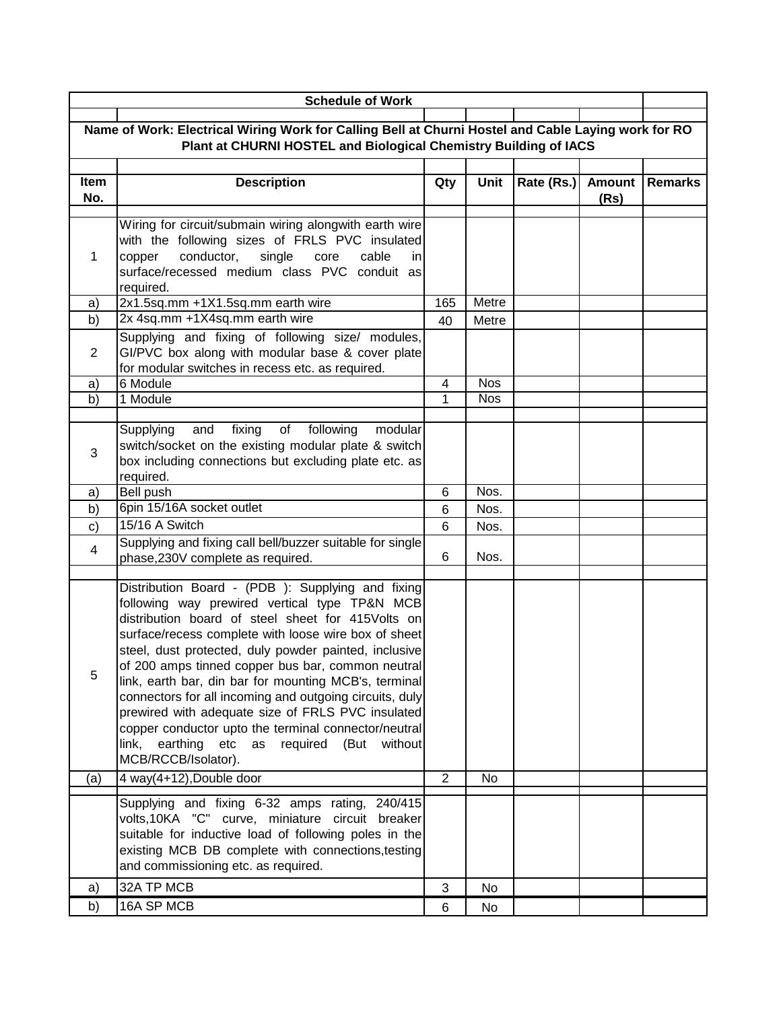|                                                                                                     | <b>Schedule of Work</b>                                                                                                                                                                                                                                                                                                                                                                                                                                                                                                                                                                                                                         |                |            |            |                       |                |
|-----------------------------------------------------------------------------------------------------|-------------------------------------------------------------------------------------------------------------------------------------------------------------------------------------------------------------------------------------------------------------------------------------------------------------------------------------------------------------------------------------------------------------------------------------------------------------------------------------------------------------------------------------------------------------------------------------------------------------------------------------------------|----------------|------------|------------|-----------------------|----------------|
| Name of Work: Electrical Wiring Work for Calling Bell at Churni Hostel and Cable Laying work for RO |                                                                                                                                                                                                                                                                                                                                                                                                                                                                                                                                                                                                                                                 |                |            |            |                       |                |
| Plant at CHURNI HOSTEL and Biological Chemistry Building of IACS                                    |                                                                                                                                                                                                                                                                                                                                                                                                                                                                                                                                                                                                                                                 |                |            |            |                       |                |
| Item<br>No.                                                                                         | <b>Description</b>                                                                                                                                                                                                                                                                                                                                                                                                                                                                                                                                                                                                                              | Qty            | Unit       | Rate (Rs.) | <b>Amount</b><br>(Rs) | <b>Remarks</b> |
| 1                                                                                                   | Wiring for circuit/submain wiring alongwith earth wire<br>with the following sizes of FRLS PVC insulated<br>conductor,<br>single<br>copper<br>core<br>cable<br>inl<br>surface/recessed medium class PVC conduit as<br>required.                                                                                                                                                                                                                                                                                                                                                                                                                 |                |            |            |                       |                |
| a)                                                                                                  | 2x1.5sq.mm +1X1.5sq.mm earth wire                                                                                                                                                                                                                                                                                                                                                                                                                                                                                                                                                                                                               | 165            | Metre      |            |                       |                |
| b)                                                                                                  | 2x 4sq.mm +1X4sq.mm earth wire                                                                                                                                                                                                                                                                                                                                                                                                                                                                                                                                                                                                                  | 40             | Metre      |            |                       |                |
| $\overline{2}$                                                                                      | Supplying and fixing of following size/ modules,<br>GI/PVC box along with modular base & cover plate<br>for modular switches in recess etc. as required.                                                                                                                                                                                                                                                                                                                                                                                                                                                                                        |                |            |            |                       |                |
| a)                                                                                                  | 6 Module                                                                                                                                                                                                                                                                                                                                                                                                                                                                                                                                                                                                                                        | 4              | <b>Nos</b> |            |                       |                |
| b)                                                                                                  | 1 Module                                                                                                                                                                                                                                                                                                                                                                                                                                                                                                                                                                                                                                        | 1              | <b>Nos</b> |            |                       |                |
| 3                                                                                                   | fixing<br>Supplying<br>and<br>of<br>following<br>modular<br>switch/socket on the existing modular plate & switch<br>box including connections but excluding plate etc. as<br>required.                                                                                                                                                                                                                                                                                                                                                                                                                                                          |                |            |            |                       |                |
| a)                                                                                                  | <b>Bell push</b>                                                                                                                                                                                                                                                                                                                                                                                                                                                                                                                                                                                                                                | 6              | Nos.       |            |                       |                |
| b)                                                                                                  | 6pin 15/16A socket outlet                                                                                                                                                                                                                                                                                                                                                                                                                                                                                                                                                                                                                       | 6              | Nos.       |            |                       |                |
| c)                                                                                                  | 15/16 A Switch                                                                                                                                                                                                                                                                                                                                                                                                                                                                                                                                                                                                                                  | 6              | Nos.       |            |                       |                |
| 4                                                                                                   | Supplying and fixing call bell/buzzer suitable for single<br>phase, 230V complete as required.                                                                                                                                                                                                                                                                                                                                                                                                                                                                                                                                                  | 6              | Nos.       |            |                       |                |
| 5                                                                                                   | Distribution Board - (PDB): Supplying and fixing<br>following way prewired vertical type TP&N MCB<br>distribution board of steel sheet for 415Volts on<br>surface/recess complete with loose wire box of sheet<br>steel, dust protected, duly powder painted, inclusive<br>of 200 amps tinned copper bus bar, common neutral<br>link, earth bar, din bar for mounting MCB's, terminal<br>connectors for all incoming and outgoing circuits, duly<br>prewired with adequate size of FRLS PVC insulated<br>copper conductor upto the terminal connector/neutral<br>link,<br>earthing<br>etc<br>required (But without<br>as<br>MCB/RCCB/Isolator). |                |            |            |                       |                |
| (a)                                                                                                 | $4$ way(4+12), Double door                                                                                                                                                                                                                                                                                                                                                                                                                                                                                                                                                                                                                      | $\overline{2}$ | <b>No</b>  |            |                       |                |
|                                                                                                     | Supplying and fixing 6-32 amps rating, 240/415<br>volts,10KA "C" curve, miniature circuit breaker<br>suitable for inductive load of following poles in the<br>existing MCB DB complete with connections, testing<br>and commissioning etc. as required.                                                                                                                                                                                                                                                                                                                                                                                         |                |            |            |                       |                |
| a)                                                                                                  | 32A TP MCB                                                                                                                                                                                                                                                                                                                                                                                                                                                                                                                                                                                                                                      | 3              | No         |            |                       |                |
| b)                                                                                                  | 16A SP MCB                                                                                                                                                                                                                                                                                                                                                                                                                                                                                                                                                                                                                                      | 6              | No         |            |                       |                |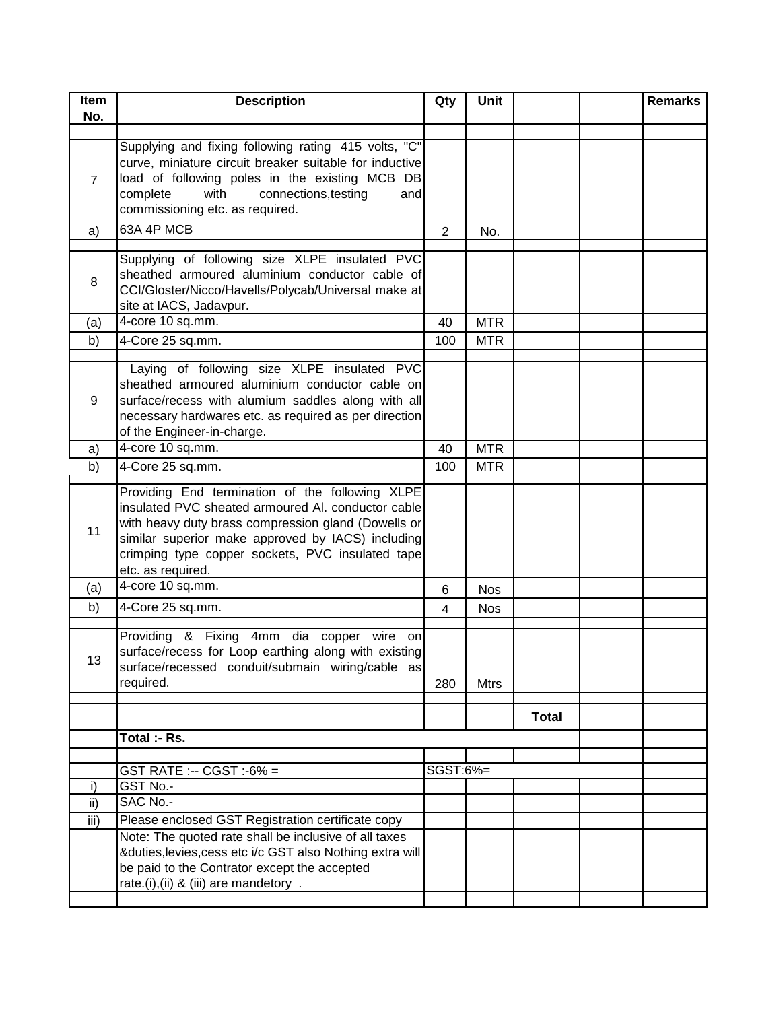| Item<br>No.    | <b>Description</b>                                                                                                                                                                                                                                                                         | Qty            | <b>Unit</b> |              | <b>Remarks</b> |
|----------------|--------------------------------------------------------------------------------------------------------------------------------------------------------------------------------------------------------------------------------------------------------------------------------------------|----------------|-------------|--------------|----------------|
| $\overline{7}$ | Supplying and fixing following rating 415 volts, "C"<br>curve, miniature circuit breaker suitable for inductive<br>load of following poles in the existing MCB DB<br>with<br>connections, testing<br>complete<br>andl<br>commissioning etc. as required.                                   |                |             |              |                |
| a)             | 63A 4P MCB                                                                                                                                                                                                                                                                                 | $\overline{2}$ | No.         |              |                |
| 8              | Supplying of following size XLPE insulated PVC<br>sheathed armoured aluminium conductor cable of<br>CCI/Gloster/Nicco/Havells/Polycab/Universal make at<br>site at IACS, Jadavpur.                                                                                                         |                |             |              |                |
| (a)            | 4-core 10 sq.mm.                                                                                                                                                                                                                                                                           | 40             | <b>MTR</b>  |              |                |
| b)             | 4-Core 25 sq.mm.                                                                                                                                                                                                                                                                           | 100            | <b>MTR</b>  |              |                |
| 9              | Laying of following size XLPE insulated PVC<br>sheathed armoured aluminium conductor cable on<br>surface/recess with alumium saddles along with all<br>necessary hardwares etc. as required as per direction<br>of the Engineer-in-charge.                                                 |                |             |              |                |
| a)             | 4-core 10 sq.mm.                                                                                                                                                                                                                                                                           | 40             | <b>MTR</b>  |              |                |
| b)             | 4-Core 25 sq.mm.                                                                                                                                                                                                                                                                           | 100            | MTR.        |              |                |
| 11             | Providing End termination of the following XLPE<br>insulated PVC sheated armoured AI. conductor cable<br>with heavy duty brass compression gland (Dowells or<br>similar superior make approved by IACS) including<br>crimping type copper sockets, PVC insulated tape<br>etc. as required. |                |             |              |                |
| (a)            | 4-core 10 sq.mm.                                                                                                                                                                                                                                                                           | 6              | <b>Nos</b>  |              |                |
| b)             | 4-Core 25 sq.mm.                                                                                                                                                                                                                                                                           | 4              | <b>Nos</b>  |              |                |
| 13             | Providing & Fixing 4mm dia copper wire on<br>surface/recess for Loop earthing along with existing<br>surface/recessed conduit/submain wiring/cable as<br>required.                                                                                                                         | 280            | <b>Mtrs</b> |              |                |
|                |                                                                                                                                                                                                                                                                                            |                |             | <b>Total</b> |                |
|                | Total :- Rs.                                                                                                                                                                                                                                                                               |                |             |              |                |
|                |                                                                                                                                                                                                                                                                                            |                |             |              |                |
|                | GST RATE :-- CGST :-6% =                                                                                                                                                                                                                                                                   | SGST:6%=       |             |              |                |
| i)             | GST No.-<br>SAC No.-                                                                                                                                                                                                                                                                       |                |             |              |                |
| ii)<br>iii)    |                                                                                                                                                                                                                                                                                            |                |             |              |                |
|                | Please enclosed GST Registration certificate copy<br>Note: The quoted rate shall be inclusive of all taxes                                                                                                                                                                                 |                |             |              |                |
|                | &duties, levies, cess etc i/c GST also Nothing extra will<br>be paid to the Contrator except the accepted<br>rate.(i),(ii) & (iii) are mandetory.                                                                                                                                          |                |             |              |                |
|                |                                                                                                                                                                                                                                                                                            |                |             |              |                |